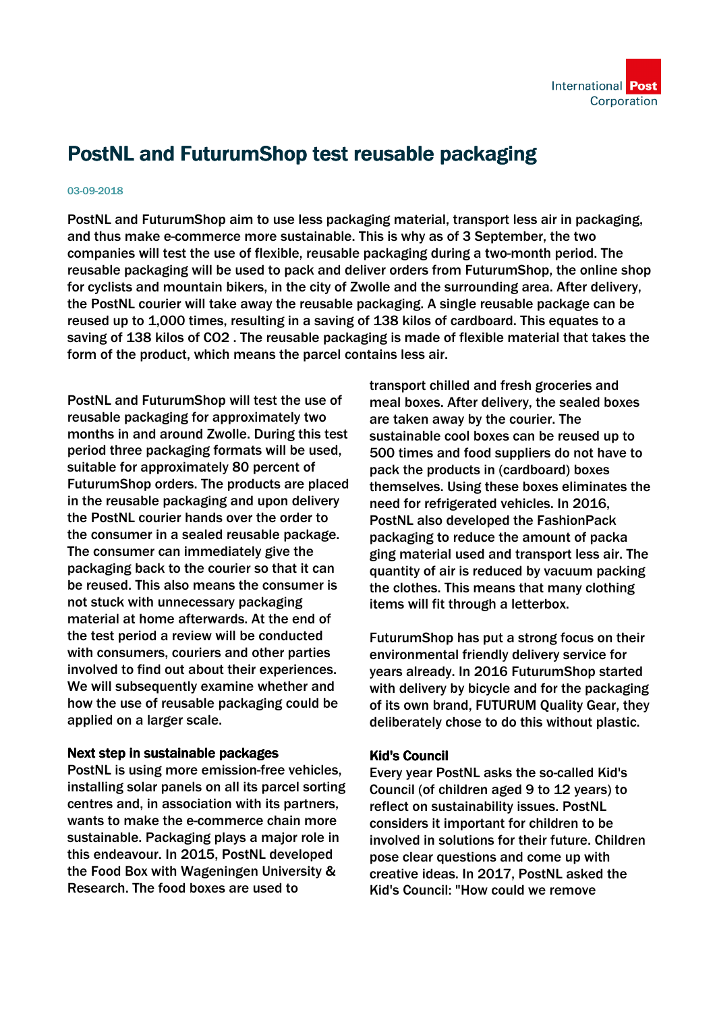

## PostNL and FuturumShop test reusable packaging

## 03-09-2018

PostNL and FuturumShop aim to use less packaging material, transport less air in packaging, and thus make e-commerce more sustainable. This is why as of 3 September, the two companies will test the use of flexible, reusable packaging during a two-month period. The reusable packaging will be used to pack and deliver orders from FuturumShop, the online shop for cyclists and mountain bikers, in the city of Zwolle and the surrounding area. After delivery, the PostNL courier will take away the reusable packaging. A single reusable package can be reused up to 1,000 times, resulting in a saving of 138 kilos of cardboard. This equates to a saving of 138 kilos of CO2 . The reusable packaging is made of flexible material that takes the form of the product, which means the parcel contains less air.

PostNL and FuturumShop will test the use of reusable packaging for approximately two months in and around Zwolle. During this test period three packaging formats will be used, suitable for approximately 80 percent of FuturumShop orders. The products are placed in the reusable packaging and upon delivery the PostNL courier hands over the order to the consumer in a sealed reusable package. The consumer can immediately give the packaging back to the courier so that it can be reused. This also means the consumer is not stuck with unnecessary packaging material at home afterwards. At the end of the test period a review will be conducted with consumers, couriers and other parties involved to find out about their experiences. We will subsequently examine whether and how the use of reusable packaging could be applied on a larger scale.

## Next step in sustainable packages

PostNL is using more emission-free vehicles, installing solar panels on all its parcel sorting centres and, in association with its partners, wants to make the e-commerce chain more sustainable. Packaging plays a major role in this endeavour. In 2015, PostNL developed the Food Box with Wageningen University & Research. The food boxes are used to

transport chilled and fresh groceries and meal boxes. After delivery, the sealed boxes are taken away by the courier. The sustainable cool boxes can be reused up to 500 times and food suppliers do not have to pack the products in (cardboard) boxes themselves. Using these boxes eliminates the need for refrigerated vehicles. In 2016, PostNL also developed the FashionPack packaging to reduce the amount of packa ging material used and transport less air. The quantity of air is reduced by vacuum packing the clothes. This means that many clothing items will fit through a letterbox.

FuturumShop has put a strong focus on their environmental friendly delivery service for years already. In 2016 FuturumShop started with delivery by bicycle and for the packaging of its own brand, FUTURUM Quality Gear, they deliberately chose to do this without plastic.

## Kid's Council

Every year PostNL asks the so-called Kid's Council (of children aged 9 to 12 years) to reflect on sustainability issues. PostNL considers it important for children to be involved in solutions for their future. Children pose clear questions and come up with creative ideas. In 2017, PostNL asked the Kid's Council: "How could we remove